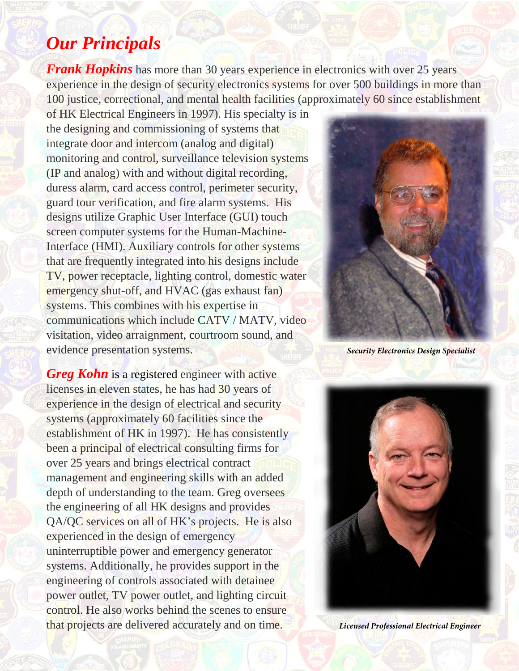## *Our Principals*

*Frank Hopkins* has more than 30 years experience in electronics with over 25 years experience in the design of security electronics systems for over 500 buildings in more than 100 justice, correctional, and mental health facilities (approximately 60 since establishment

of HK Electrical Engineers in 1997). His specialty is in the designing and commissioning of systems that integrate door and intercom (analog and digital) monitoring and control, surveillance television systems (IP and analog) with and without digital recording, duress alarm, card access control, perimeter security, guard tour verification, and fire alarm systems. His designs utilize Graphic User Interface (GUI) touch screen computer systems for the Human-Machine-Interface (HMI). Auxiliary controls for other systems that are frequently integrated into his designs include TV, power receptacle, lighting control, domestic water emergency shut-off, and HVAC (gas exhaust fan) systems. This combines with his expertise in communications which include CATV / MATV, video visitation, video arraignment, courtroom sound, and evidence presentation systems. *Security Electronics Design Specialist* 

*Greg Kohn* is a registered engineer with active licenses in eleven states, he has had 30 years of experience in the design of electrical and security systems (approximately 60 facilities since the establishment of HK in 1997). He has consistently been a principal of electrical consulting firms for over 25 years and brings electrical contract management and engineering skills with an added depth of understanding to the team. Greg oversees the engineering of all HK designs and provides QA/QC services on all of HK's projects. He is also experienced in the design of emergency uninterruptible power and emergency generator systems. Additionally, he provides support in the engineering of controls associated with detainee power outlet, TV power outlet, and lighting circuit control. He also works behind the scenes to ensure that projects are delivered accurately and on time. *Licensed Professional Electrical Engineer*